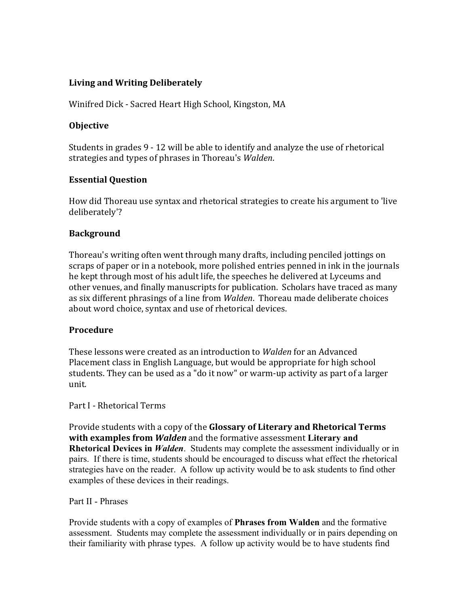# Living and Writing Deliberately

Winifred Dick - Sacred Heart High School, Kingston, MA

# **Objective**

Students in grades 9 - 12 will be able to identify and analyze the use of rhetorical strategies and types of phrases in Thoreau's *Walden*.

# **Essential Question**

How did Thoreau use syntax and rhetorical strategies to create his argument to 'live deliberately'?

# **Background**

Thoreau's writing often went through many drafts, including penciled jottings on scraps of paper or in a notebook, more polished entries penned in ink in the journals he kept through most of his adult life, the speeches he delivered at Lyceums and other venues, and finally manuscripts for publication. Scholars have traced as many as six different phrasings of a line from *Walden*. Thoreau made deliberate choices about word choice, syntax and use of rhetorical devices.

# **Procedure**

These lessons were created as an introduction to *Walden* for an Advanced Placement class in English Language, but would be appropriate for high school students. They can be used as a "do it now" or warm-up activity as part of a larger unit.

# Part I - Rhetorical Terms

Provide students with a copy of the **Glossary of Literary and Rhetorical Terms with examples from** *Walden* and the formative assessment Literary and **Rhetorical Devices in** *Walden*. Students may complete the assessment individually or in pairs. If there is time, students should be encouraged to discuss what effect the rhetorical strategies have on the reader. A follow up activity would be to ask students to find other examples of these devices in their readings.

# Part II - Phrases

Provide students with a copy of examples of **Phrases from Walden** and the formative assessment. Students may complete the assessment individually or in pairs depending on their familiarity with phrase types. A follow up activity would be to have students find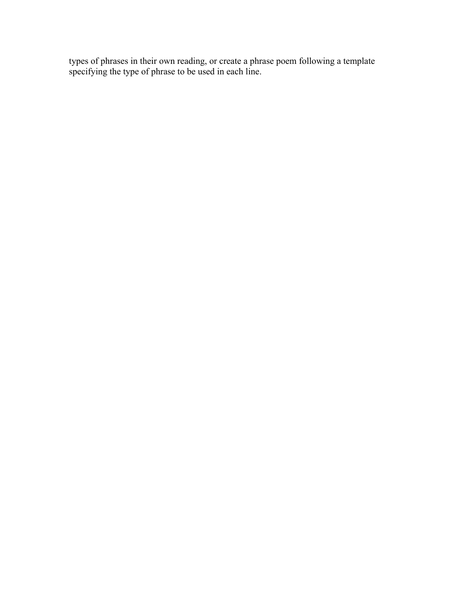types of phrases in their own reading, or create a phrase poem following a template specifying the type of phrase to be used in each line.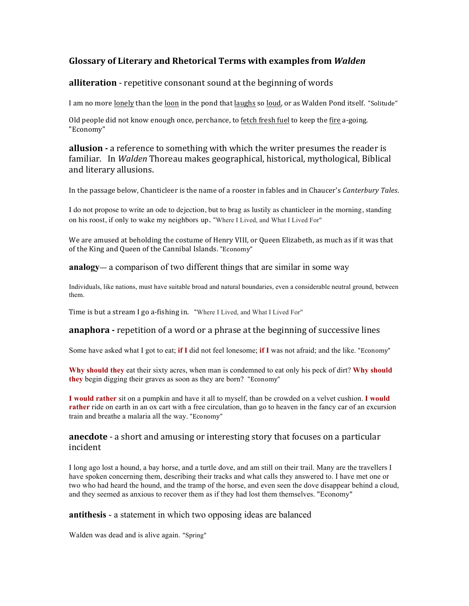# **Glossary of Literary and Rhetorical Terms with examples from** *Walden*

**alliteration** - repetitive consonant sound at the beginning of words

I am no more lonely than the loon in the pond that laughs so loud, or as Walden Pond itself. "Solitude"

Old people did not know enough once, perchance, to fetch fresh fuel to keep the fire a-going. "Economy"

**allusion** - a reference to something with which the writer presumes the reader is familiar. In *Walden* Thoreau makes geographical, historical, mythological, Biblical and literary allusions.

In the passage below, Chanticleer is the name of a rooster in fables and in Chaucer's *Canterbury Tales*.

I do not propose to write an ode to dejection, but to brag as lustily as chanticleer in the morning, standing on his roost, if only to wake my neighbors up. "Where I Lived, and What I Lived For"

We are amused at beholding the costume of Henry VIII, or Queen Elizabeth, as much as if it was that of the King and Queen of the Cannibal Islands. "Economy"

**analogy**— a comparison of two different things that are similar in some way

Individuals, like nations, must have suitable broad and natural boundaries, even a considerable neutral ground, between them.

Time is but a stream I go a-fishing in. "Where I Lived, and What I Lived For"

#### **anaphora** - repetition of a word or a phrase at the beginning of successive lines

Some have asked what I got to eat; **if I** did not feel lonesome; **if I** was not afraid; and the like. "Economy"

**Why should they** eat their sixty acres, when man is condemned to eat only his peck of dirt? **Why should they** begin digging their graves as soon as they are born? "Economy"

**I would rather** sit on a pumpkin and have it all to myself, than be crowded on a velvet cushion. **I would rather** ride on earth in an ox cart with a free circulation, than go to heaven in the fancy car of an excursion train and breathe a malaria all the way. "Economy"

#### **anecdote** - a short and amusing or interesting story that focuses on a particular incident

I long ago lost a hound, a bay horse, and a turtle dove, and am still on their trail. Many are the travellers I have spoken concerning them, describing their tracks and what calls they answered to. I have met one or two who had heard the hound, and the tramp of the horse, and even seen the dove disappear behind a cloud, and they seemed as anxious to recover them as if they had lost them themselves. "Economy"

#### **antithesis** - a statement in which two opposing ideas are balanced

Walden was dead and is alive again. "Spring"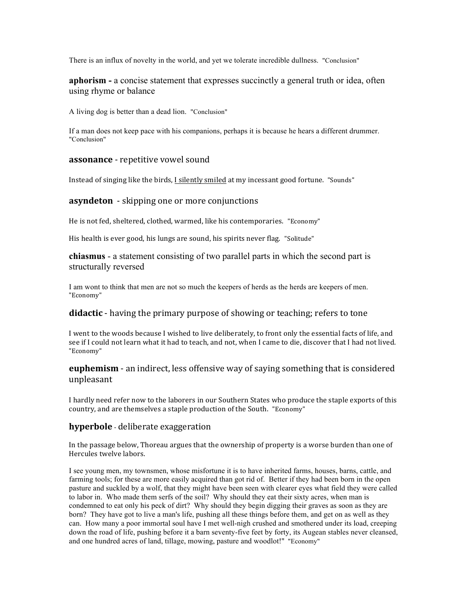There is an influx of novelty in the world, and yet we tolerate incredible dullness. "Conclusion"

**aphorism -** a concise statement that expresses succinctly a general truth or idea, often using rhyme or balance

A living dog is better than a dead lion. "Conclusion"

If a man does not keep pace with his companions, perhaps it is because he hears a different drummer. "Conclusion"

#### **assonance** - repetitive vowel sound

Instead of singing like the birds, *I* silently smiled at my incessant good fortune. "Sounds"

#### **asyndeton** - skipping one or more conjunctions

He is not fed, sheltered, clothed, warmed, like his contemporaries. "Economy"

His health is ever good, his lungs are sound, his spirits never flag. "Solitude"

**chiasmus** - a statement consisting of two parallel parts in which the second part is structurally reversed

I am wont to think that men are not so much the keepers of herds as the herds are keepers of men. "Economy"

#### **didactic** - having the primary purpose of showing or teaching; refers to tone

I went to the woods because I wished to live deliberately, to front only the essential facts of life, and see if I could not learn what it had to teach, and not, when I came to die, discover that I had not lived. "Economy"

#### **euphemism** - an indirect, less offensive way of saying something that is considered unpleasant

I hardly need refer now to the laborers in our Southern States who produce the staple exports of this country, and are themselves a staple production of the South. "Economy"

#### **hyperbole** - deliberate exaggeration

In the passage below, Thoreau argues that the ownership of property is a worse burden than one of Hercules twelve labors.

I see young men, my townsmen, whose misfortune it is to have inherited farms, houses, barns, cattle, and farming tools; for these are more easily acquired than got rid of. Better if they had been born in the open pasture and suckled by a wolf, that they might have been seen with clearer eyes what field they were called to labor in. Who made them serfs of the soil? Why should they eat their sixty acres, when man is condemned to eat only his peck of dirt? Why should they begin digging their graves as soon as they are born? They have got to live a man's life, pushing all these things before them, and get on as well as they can. How many a poor immortal soul have I met well-nigh crushed and smothered under its load, creeping down the road of life, pushing before it a barn seventy-five feet by forty, its Augean stables never cleansed, and one hundred acres of land, tillage, mowing, pasture and woodlot!" "Economy"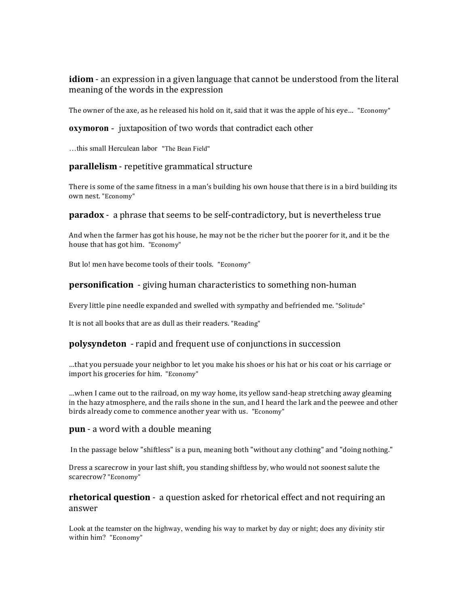**idiom** - an expression in a given language that cannot be understood from the literal meaning of the words in the expression

The owner of the axe, as he released his hold on it, said that it was the apple of his eye... "Economy"

**oxymoron** - juxtaposition of two words that contradict each other

…this small Herculean labor "The Bean Field"

#### **parallelism** - repetitive grammatical structure

There is some of the same fitness in a man's building his own house that there is in a bird building its own nest. "Economy"

**paradox** - a phrase that seems to be self-contradictory, but is nevertheless true

And when the farmer has got his house, he may not be the richer but the poorer for it, and it be the house that has got him. "Economy"

But lo! men have become tools of their tools. "Economy"

#### **personification** - giving human characteristics to something non-human

Every little pine needle expanded and swelled with sympathy and befriended me. "Solitude"

It is not all books that are as dull as their readers. "Reading"

#### **polysyndeton** - rapid and frequent use of conjunctions in succession

…that you persuade your neighbor to let you make his shoes or his hat or his coat or his carriage or import his groceries for him. "Economy"

...when I came out to the railroad, on my way home, its yellow sand-heap stretching away gleaming in the hazy atmosphere, and the rails shone in the sun, and I heard the lark and the peewee and other birds already come to commence another year with us. "Economy"

#### **pun** - a word with a double meaning

In the passage below "shiftless" is a pun, meaning both "without any clothing" and "doing nothing."

Dress a scarecrow in your last shift, you standing shiftless by, who would not soonest salute the scarecrow? "Economy"

#### **rhetorical question** - a question asked for rhetorical effect and not requiring an answer

Look at the teamster on the highway, wending his way to market by day or night; does any divinity stir within him? "Economy"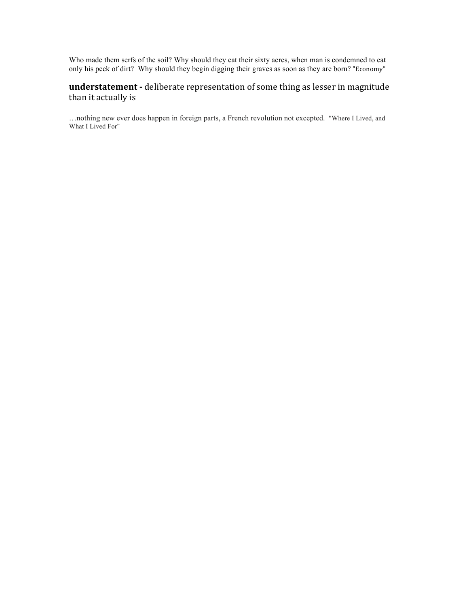Who made them serfs of the soil? Why should they eat their sixty acres, when man is condemned to eat only his peck of dirt? Why should they begin digging their graves as soon as they are born? "Economy"

## **understatement** - deliberate representation of some thing as lesser in magnitude than it actually is

…nothing new ever does happen in foreign parts, a French revolution not excepted. "Where I Lived, and What I Lived For"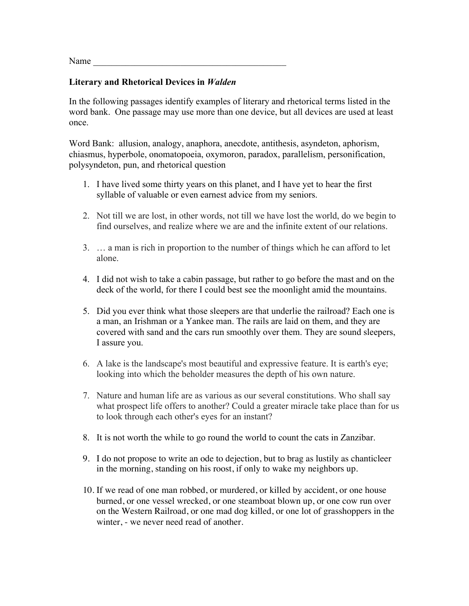Name

## **Literary and Rhetorical Devices in** *Walden*

In the following passages identify examples of literary and rhetorical terms listed in the word bank. One passage may use more than one device, but all devices are used at least once.

Word Bank: allusion, analogy, anaphora, anecdote, antithesis, asyndeton, aphorism, chiasmus, hyperbole, onomatopoeia, oxymoron, paradox, parallelism, personification, polysyndeton, pun, and rhetorical question

- 1. I have lived some thirty years on this planet, and I have yet to hear the first syllable of valuable or even earnest advice from my seniors.
- 2. Not till we are lost, in other words, not till we have lost the world, do we begin to find ourselves, and realize where we are and the infinite extent of our relations.
- 3. … a man is rich in proportion to the number of things which he can afford to let alone.
- 4. I did not wish to take a cabin passage, but rather to go before the mast and on the deck of the world, for there I could best see the moonlight amid the mountains.
- 5. Did you ever think what those sleepers are that underlie the railroad? Each one is a man, an Irishman or a Yankee man. The rails are laid on them, and they are covered with sand and the cars run smoothly over them. They are sound sleepers, I assure you.
- 6. A lake is the landscape's most beautiful and expressive feature. It is earth's eye; looking into which the beholder measures the depth of his own nature.
- 7. Nature and human life are as various as our several constitutions. Who shall say what prospect life offers to another? Could a greater miracle take place than for us to look through each other's eyes for an instant?
- 8. It is not worth the while to go round the world to count the cats in Zanzibar.
- 9. I do not propose to write an ode to dejection, but to brag as lustily as chanticleer in the morning, standing on his roost, if only to wake my neighbors up.
- 10. If we read of one man robbed, or murdered, or killed by accident, or one house burned, or one vessel wrecked, or one steamboat blown up, or one cow run over on the Western Railroad, or one mad dog killed, or one lot of grasshoppers in the winter, - we never need read of another.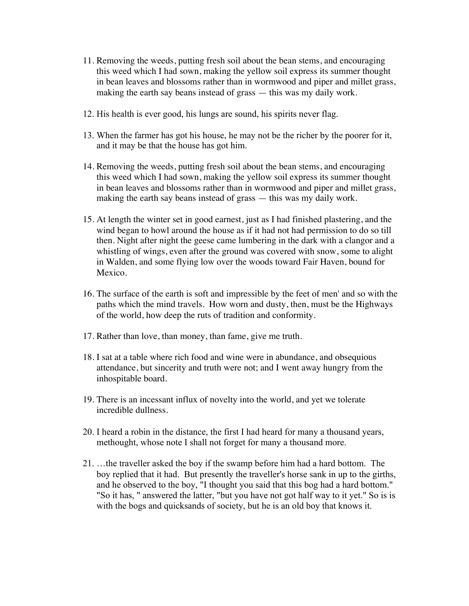- 11. Removing the weeds, putting fresh soil about the bean stems, and encouraging this weed which I had sown, making the yellow soil express its summer thought in bean leaves and blossoms rather than in wormwood and piper and millet grass, making the earth say beans instead of grass — this was my daily work.
- 12. His health is ever good, his lungs are sound, his spirits never flag.
- 13. When the farmer has got his house, he may not be the richer by the poorer for it, and it may be that the house has got him.
- 14. Removing the weeds, putting fresh soil about the bean stems, and encouraging this weed which I had sown, making the yellow soil express its summer thought in bean leaves and blossoms rather than in wormwood and piper and millet grass, making the earth say beans instead of grass — this was my daily work.
- 15. At length the winter set in good earnest, just as I had finished plastering, and the wind began to howl around the house as if it had not had permission to do so till then. Night after night the geese came lumbering in the dark with a clangor and a whistling of wings, even after the ground was covered with snow, some to alight in Walden, and some flying low over the woods toward Fair Haven, bound for Mexico.
- 16. The surface of the earth is soft and impressible by the feet of men' and so with the paths which the mind travels. How worn and dusty, then, must be the Highways of the world, how deep the ruts of tradition and conformity.
- 17. Rather than love, than money, than fame, give me truth.
- 18. I sat at a table where rich food and wine were in abundance, and obsequious attendance, but sincerity and truth were not; and I went away hungry from the inhospitable board.
- 19. There is an incessant influx of novelty into the world, and yet we tolerate incredible dullness.
- 20. I heard a robin in the distance, the first I had heard for many a thousand years, methought, whose note I shall not forget for many a thousand more.
- 21. …the traveller asked the boy if the swamp before him had a hard bottom. The boy replied that it had. But presently the traveller's horse sank in up to the girths, and he observed to the boy, "I thought you said that this bog had a hard bottom." "So it has, " answered the latter, "but you have not got half way to it yet." So is is with the bogs and quicksands of society, but he is an old boy that knows it.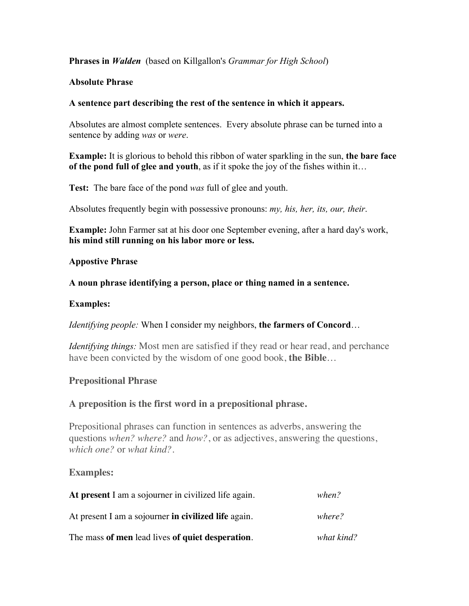# **Phrases in** *Walden* (based on Killgallon's *Grammar for High School*)

# **Absolute Phrase**

## **A sentence part describing the rest of the sentence in which it appears.**

Absolutes are almost complete sentences. Every absolute phrase can be turned into a sentence by adding *was* or *were*.

**Example:** It is glorious to behold this ribbon of water sparkling in the sun, **the bare face of the pond full of glee and youth**, as if it spoke the joy of the fishes within it…

**Test:** The bare face of the pond *was* full of glee and youth.

Absolutes frequently begin with possessive pronouns: *my, his, her, its, our, their*.

**Example:** John Farmer sat at his door one September evening, after a hard day's work, **his mind still running on his labor more or less.**

## **Appostive Phrase**

## **A noun phrase identifying a person, place or thing named in a sentence.**

## **Examples:**

*Identifying people:* When I consider my neighbors, **the farmers of Concord**…

*Identifying things:* Most men are satisfied if they read or hear read, and perchance have been convicted by the wisdom of one good book, **the Bible**…

# **Prepositional Phrase**

## **A preposition is the first word in a prepositional phrase.**

Prepositional phrases can function in sentences as adverbs, answering the questions *when? where?* and *how?*, or as adjectives, answering the questions, *which one?* or *what kind?.*

# **Examples:**

| At present I am a sojourner in civilized life again. | when?      |
|------------------------------------------------------|------------|
| At present I am a sojourner in civilized life again. | where?     |
| The mass of men lead lives of quiet desperation.     | what kind? |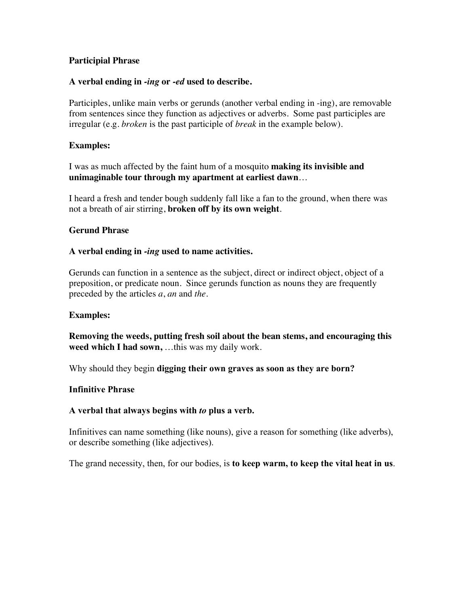## **Participial Phrase**

## **A verbal ending in** *-ing* **or** *-ed* **used to describe.**

Participles, unlike main verbs or gerunds (another verbal ending in -ing), are removable from sentences since they function as adjectives or adverbs. Some past participles are irregular (e.g. *broken* is the past participle of *break* in the example below).

## **Examples:**

I was as much affected by the faint hum of a mosquito **making its invisible and unimaginable tour through my apartment at earliest dawn**…

I heard a fresh and tender bough suddenly fall like a fan to the ground, when there was not a breath of air stirring, **broken off by its own weight**.

## **Gerund Phrase**

## **A verbal ending in** *-ing* **used to name activities.**

Gerunds can function in a sentence as the subject, direct or indirect object, object of a preposition, or predicate noun. Since gerunds function as nouns they are frequently preceded by the articles *a*, *an* and *the*.

## **Examples:**

**Removing the weeds, putting fresh soil about the bean stems, and encouraging this weed which I had sown,** …this was my daily work.

Why should they begin **digging their own graves as soon as they are born?**

## **Infinitive Phrase**

## **A verbal that always begins with** *to* **plus a verb.**

Infinitives can name something (like nouns), give a reason for something (like adverbs), or describe something (like adjectives).

The grand necessity, then, for our bodies, is **to keep warm, to keep the vital heat in us**.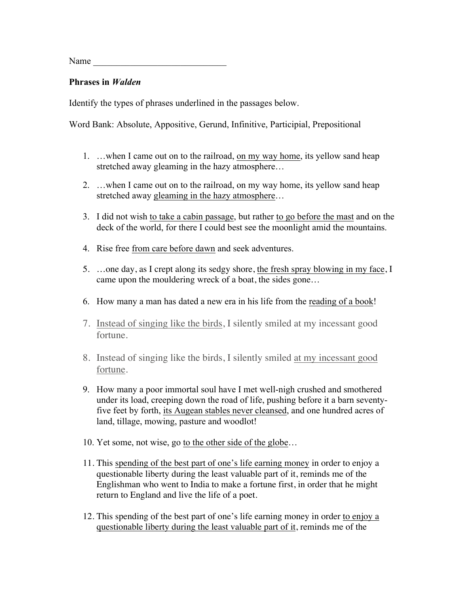Name

# **Phrases in** *Walden*

Identify the types of phrases underlined in the passages below.

Word Bank: Absolute, Appositive, Gerund, Infinitive, Participial, Prepositional

- 1. …when I came out on to the railroad, on my way home, its yellow sand heap stretched away gleaming in the hazy atmosphere…
- 2. …when I came out on to the railroad, on my way home, its yellow sand heap stretched away gleaming in the hazy atmosphere…
- 3. I did not wish to take a cabin passage, but rather to go before the mast and on the deck of the world, for there I could best see the moonlight amid the mountains.
- 4. Rise free from care before dawn and seek adventures.
- 5. …one day, as I crept along its sedgy shore, the fresh spray blowing in my face, I came upon the mouldering wreck of a boat, the sides gone…
- 6. How many a man has dated a new era in his life from the reading of a book!
- 7. Instead of singing like the birds, I silently smiled at my incessant good fortune.
- 8. Instead of singing like the birds, I silently smiled at my incessant good fortune.
- 9. How many a poor immortal soul have I met well-nigh crushed and smothered under its load, creeping down the road of life, pushing before it a barn seventyfive feet by forth, its Augean stables never cleansed, and one hundred acres of land, tillage, mowing, pasture and woodlot!
- 10. Yet some, not wise, go to the other side of the globe…
- 11. This spending of the best part of one's life earning money in order to enjoy a questionable liberty during the least valuable part of it, reminds me of the Englishman who went to India to make a fortune first, in order that he might return to England and live the life of a poet.
- 12. This spending of the best part of one's life earning money in order to enjoy a questionable liberty during the least valuable part of it, reminds me of the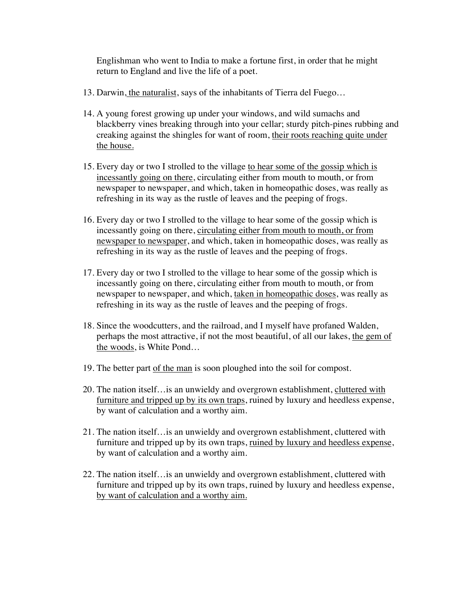Englishman who went to India to make a fortune first, in order that he might return to England and live the life of a poet.

- 13. Darwin, the naturalist, says of the inhabitants of Tierra del Fuego…
- 14. A young forest growing up under your windows, and wild sumachs and blackberry vines breaking through into your cellar; sturdy pitch-pines rubbing and creaking against the shingles for want of room, their roots reaching quite under the house.
- 15. Every day or two I strolled to the village to hear some of the gossip which is incessantly going on there, circulating either from mouth to mouth, or from newspaper to newspaper, and which, taken in homeopathic doses, was really as refreshing in its way as the rustle of leaves and the peeping of frogs.
- 16. Every day or two I strolled to the village to hear some of the gossip which is incessantly going on there, circulating either from mouth to mouth, or from newspaper to newspaper, and which, taken in homeopathic doses, was really as refreshing in its way as the rustle of leaves and the peeping of frogs.
- 17. Every day or two I strolled to the village to hear some of the gossip which is incessantly going on there, circulating either from mouth to mouth, or from newspaper to newspaper, and which, taken in homeopathic doses, was really as refreshing in its way as the rustle of leaves and the peeping of frogs.
- 18. Since the woodcutters, and the railroad, and I myself have profaned Walden, perhaps the most attractive, if not the most beautiful, of all our lakes, the gem of the woods, is White Pond…
- 19. The better part of the man is soon ploughed into the soil for compost.
- 20. The nation itself…is an unwieldy and overgrown establishment, cluttered with furniture and tripped up by its own traps, ruined by luxury and heedless expense, by want of calculation and a worthy aim.
- 21. The nation itself…is an unwieldy and overgrown establishment, cluttered with furniture and tripped up by its own traps, ruined by luxury and heedless expense, by want of calculation and a worthy aim.
- 22. The nation itself…is an unwieldy and overgrown establishment, cluttered with furniture and tripped up by its own traps, ruined by luxury and heedless expense, by want of calculation and a worthy aim.